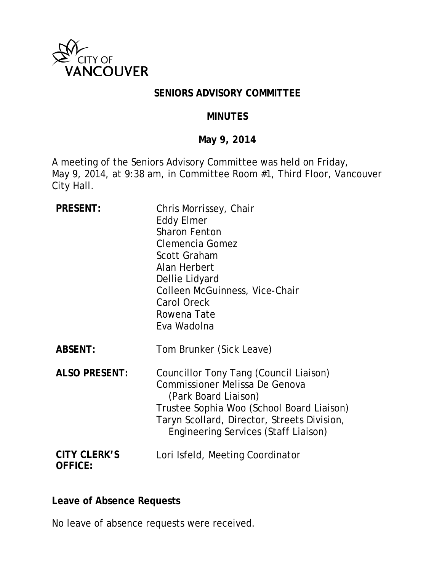

### **SENIORS ADVISORY COMMITTEE**

#### **MINUTES**

#### **May 9, 2014**

A meeting of the Seniors Advisory Committee was held on Friday, May 9, 2014, at 9:38 am, in Committee Room #1, Third Floor, Vancouver City Hall.

| <b>PRESENT:</b>                       | Chris Morrissey, Chair<br><b>Eddy Elmer</b><br><b>Sharon Fenton</b><br>Clemencia Gomez<br><b>Scott Graham</b><br>Alan Herbert<br>Dellie Lidyard<br>Colleen McGuinness, Vice-Chair<br><b>Carol Oreck</b><br>Rowena Tate<br>Eva Wadolna              |
|---------------------------------------|----------------------------------------------------------------------------------------------------------------------------------------------------------------------------------------------------------------------------------------------------|
| <b>ABSENT:</b>                        | Tom Brunker (Sick Leave)                                                                                                                                                                                                                           |
| <b>ALSO PRESENT:</b>                  | Councillor Tony Tang (Council Liaison)<br><b>Commissioner Melissa De Genova</b><br>(Park Board Liaison)<br>Trustee Sophia Woo (School Board Liaison)<br>Taryn Scollard, Director, Streets Division,<br><b>Engineering Services (Staff Liaison)</b> |
| <b>CITY CLERK'S</b><br><b>OFFICE:</b> | Lori Isfeld, Meeting Coordinator                                                                                                                                                                                                                   |

#### **Leave of Absence Requests**

No leave of absence requests were received.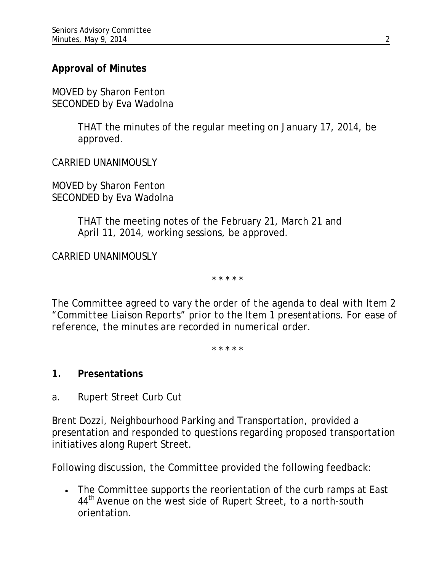# **Approval of Minutes**

MOVED by Sharon Fenton SECONDED by Eva Wadolna

> THAT the minutes of the regular meeting on January 17, 2014, be approved.

CARRIED UNANIMOUSLY

MOVED by Sharon Fenton SECONDED by Eva Wadolna

> THAT the meeting notes of the February 21, March 21 and April 11, 2014, working sessions, be approved.

CARRIED UNANIMOUSLY

\* \* \* \* \*

*The Committee agreed to vary the order of the agenda to deal with Item 2 "Committee Liaison Reports" prior to the Item 1 presentations. For ease of reference, the minutes are recorded in numerical order.*

*\* \* \* \* \**

- **1. Presentations**
- a. Rupert Street Curb Cut

Brent Dozzi, Neighbourhood Parking and Transportation, provided a presentation and responded to questions regarding proposed transportation initiatives along Rupert Street.

Following discussion, the Committee provided the following feedback:

• The Committee supports the reorientation of the curb ramps at East 44<sup>th</sup> Avenue on the west side of Rupert Street, to a north-south orientation.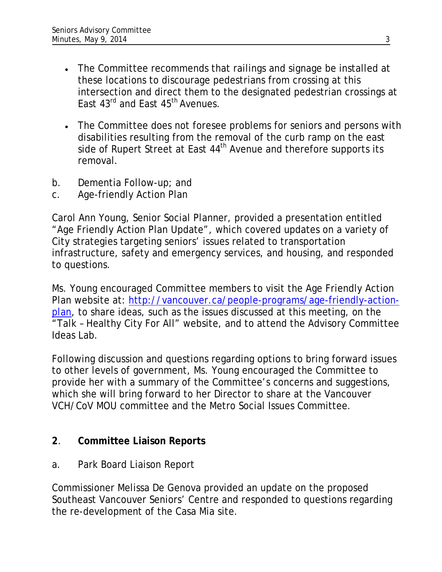- The Committee recommends that railings and signage be installed at these locations to discourage pedestrians from crossing at this intersection and direct them to the designated pedestrian crossings at East 43<sup>rd</sup> and East 45<sup>th</sup> Avenues.
- The Committee does not foresee problems for seniors and persons with disabilities resulting from the removal of the curb ramp on the east side of Rupert Street at East 44<sup>th</sup> Avenue and therefore supports its removal.
- b. Dementia Follow-up; and
- c. Age-friendly Action Plan

Carol Ann Young, Senior Social Planner, provided a presentation entitled "Age Friendly Action Plan Update", which covered updates on a variety of City strategies targeting seniors' issues related to transportation infrastructure, safety and emergency services, and housing, and responded to questions.

Ms. Young encouraged Committee members to visit the Age Friendly Action Plan website at: [http://vancouver.ca/people-programs/age-friendly-action](http://vancouver.ca/people-programs/age-friendly-action-plan)[plan,](http://vancouver.ca/people-programs/age-friendly-action-plan) to share ideas, such as the issues discussed at this meeting, on the "Talk – Healthy City For All" website, and to attend the Advisory Committee Ideas Lab.

Following discussion and questions regarding options to bring forward issues to other levels of government, Ms. Young encouraged the Committee to provide her with a summary of the Committee's concerns and suggestions, which she will bring forward to her Director to share at the Vancouver VCH/CoV MOU committee and the Metro Social Issues Committee.

# **2**. **Committee Liaison Reports**

a. Park Board Liaison Report

Commissioner Melissa De Genova provided an update on the proposed Southeast Vancouver Seniors' Centre and responded to questions regarding the re-development of the Casa Mia site.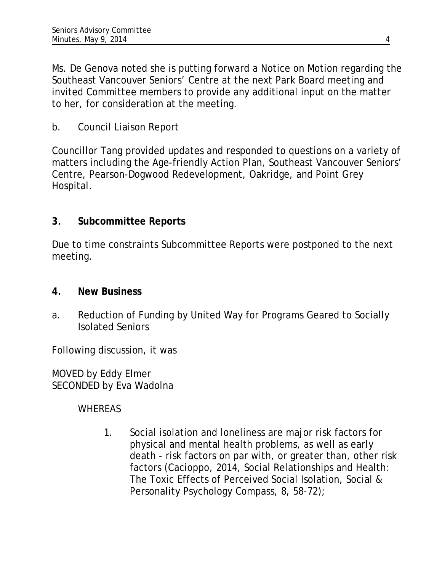Ms. De Genova noted she is putting forward a Notice on Motion regarding the Southeast Vancouver Seniors' Centre at the next Park Board meeting and invited Committee members to provide any additional input on the matter to her, for consideration at the meeting.

b. Council Liaison Report

Councillor Tang provided updates and responded to questions on a variety of matters including the Age-friendly Action Plan, Southeast Vancouver Seniors' Centre, Pearson-Dogwood Redevelopment, Oakridge, and Point Grey Hospital.

# **3. Subcommittee Reports**

Due to time constraints Subcommittee Reports were postponed to the next meeting.

## **4. New Business**

a. Reduction of Funding by United Way for Programs Geared to Socially Isolated Seniors

Following discussion, it was

MOVED by Eddy Elmer SECONDED by Eva Wadolna

# WHEREAS

1. Social isolation and loneliness are major risk factors for physical and mental health problems, as well as early death - risk factors on par with, or greater than, other risk factors (Cacioppo, 2014, Social Relationships and Health: The Toxic Effects of Perceived Social Isolation, Social & Personality Psychology Compass, 8, 58-72);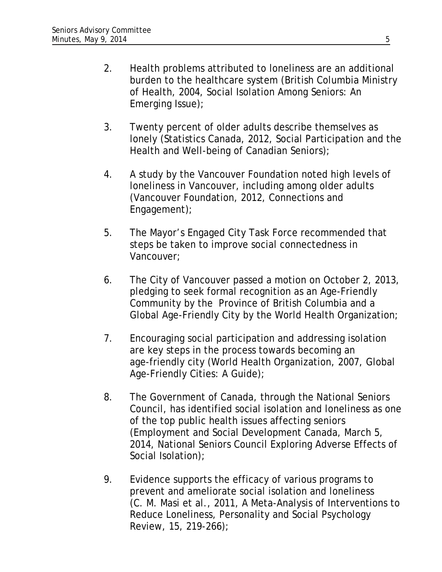- 2. Health problems attributed to loneliness are an additional burden to the healthcare system (British Columbia Ministry of Health, 2004, Social Isolation Among Seniors: An Emerging Issue);
- 3. Twenty percent of older adults describe themselves as lonely (Statistics Canada, 2012, Social Participation and the Health and Well-being of Canadian Seniors);
- 4. A study by the Vancouver Foundation noted high levels of loneliness in Vancouver, including among older adults (Vancouver Foundation, 2012, Connections and Engagement);
- 5. The Mayor's Engaged City Task Force recommended that steps be taken to improve social connectedness in Vancouver;
- 6. The City of Vancouver passed a motion on October 2, 2013, pledging to seek formal recognition as an Age-Friendly Community by the Province of British Columbia and a Global Age-Friendly City by the World Health Organization;
- 7. Encouraging social participation and addressing isolation are key steps in the process towards becoming an age-friendly city (World Health Organization, 2007, Global Age-Friendly Cities: A Guide);
- 8. The Government of Canada, through the National Seniors Council, has identified social isolation and loneliness as one of the top public health issues affecting seniors (Employment and Social Development Canada, March 5, 2014, National Seniors Council Exploring Adverse Effects of Social Isolation);
- 9. Evidence supports the efficacy of various programs to prevent and ameliorate social isolation and loneliness (C. M. Masi et al., 2011, A Meta-Analysis of Interventions to Reduce Loneliness, Personality and Social Psychology Review, 15, 219-266);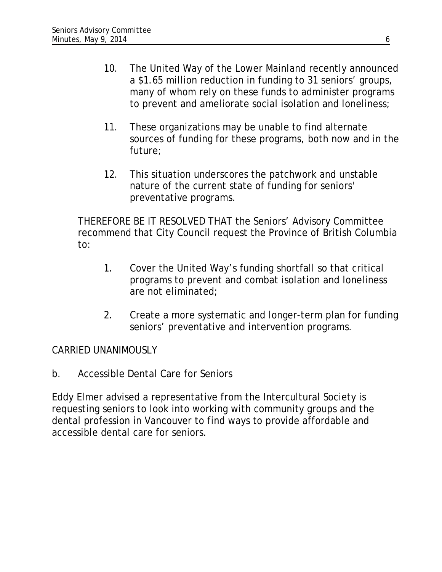- 10. The United Way of the Lower Mainland recently announced a \$1.65 million reduction in funding to 31 seniors' groups, many of whom rely on these funds to administer programs to prevent and ameliorate social isolation and loneliness;
- 11. These organizations may be unable to find alternate sources of funding for these programs, both now and in the future;
- 12. This situation underscores the patchwork and unstable nature of the current state of funding for seniors' preventative programs.

THEREFORE BE IT RESOLVED THAT the Seniors' Advisory Committee recommend that City Council request the Province of British Columbia to:

- 1. Cover the United Way's funding shortfall so that critical programs to prevent and combat isolation and loneliness are not eliminated;
- 2. Create a more systematic and longer-term plan for funding seniors' preventative and intervention programs.

### CARRIED UNANIMOUSLY

b. Accessible Dental Care for Seniors

Eddy Elmer advised a representative from the Intercultural Society is requesting seniors to look into working with community groups and the dental profession in Vancouver to find ways to provide affordable and accessible dental care for seniors.